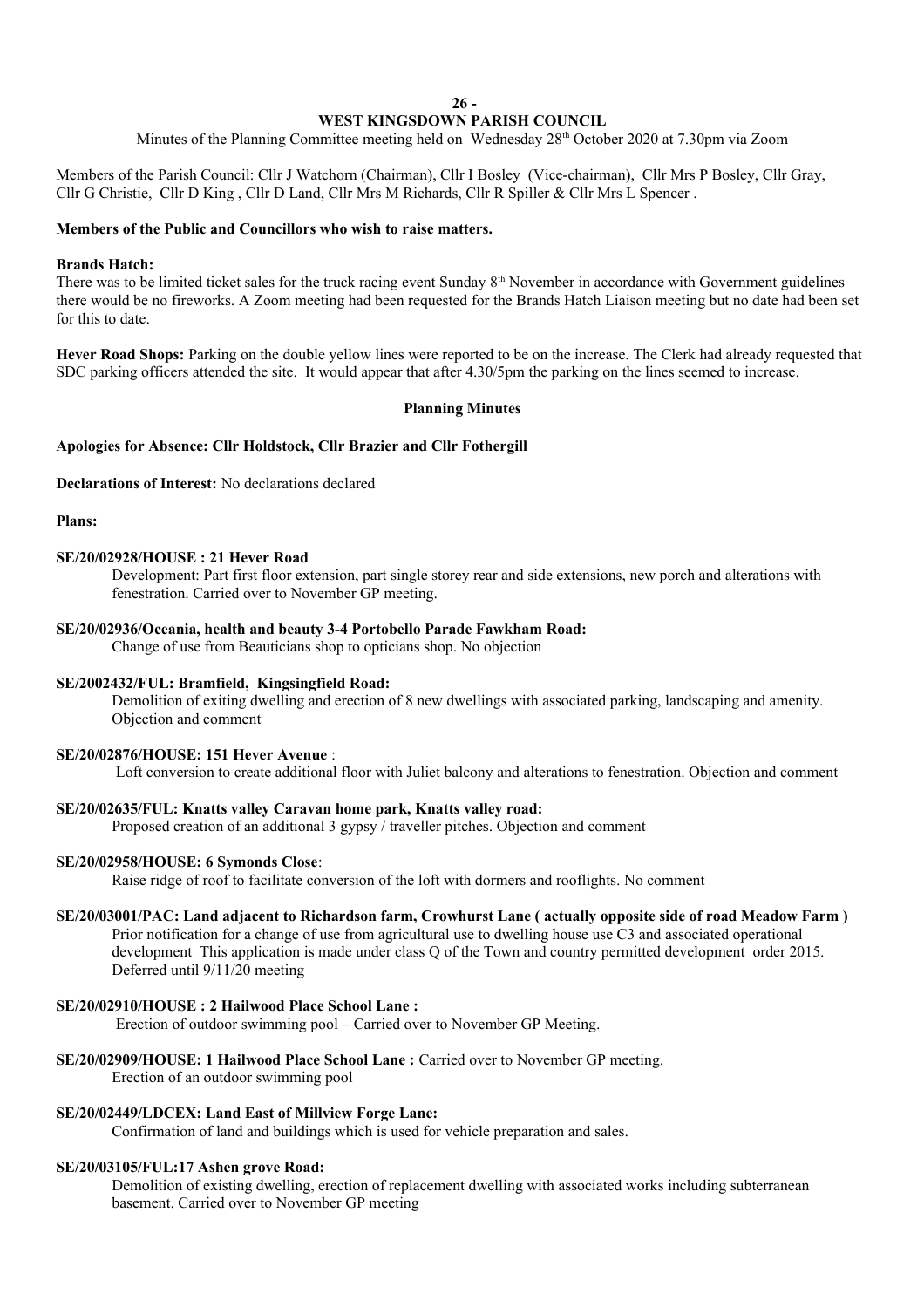### **26 -**

# **WEST KINGSDOWN PARISH COUNCIL**

Minutes of the Planning Committee meeting held on Wednesday  $28<sup>th</sup>$  October 2020 at 7.30pm via Zoom

Members of the Parish Council: Cllr J Watchorn (Chairman), Cllr I Bosley (Vice-chairman), Cllr Mrs P Bosley, Cllr Gray, Cllr G Christie, Cllr D King , Cllr D Land, Cllr Mrs M Richards, Cllr R Spiller & Cllr Mrs L Spencer .

# **Members of the Public and Councillors who wish to raise matters.**

### **Brands Hatch:**

There was to be limited ticket sales for the truck racing event Sunday  $8<sup>th</sup>$  November in accordance with Government guidelines there would be no fireworks. A Zoom meeting had been requested for the Brands Hatch Liaison meeting but no date had been set for this to date.

**Hever Road Shops:** Parking on the double yellow lines were reported to be on the increase. The Clerk had already requested that SDC parking officers attended the site. It would appear that after 4.30/5pm the parking on the lines seemed to increase.

### **Planning Minutes**

### **Apologies for Absence: Cllr Holdstock, Cllr Brazier and Cllr Fothergill**

# **Declarations of Interest:** No declarations declared

**Plans:** 

### **SE/20/02928/HOUSE : 21 Hever Road**

Development: Part first floor extension, part single storey rear and side extensions, new porch and alterations with fenestration. Carried over to November GP meeting.

## **SE/20/02936/Oceania, health and beauty 3-4 Portobello Parade Fawkham Road:**

Change of use from Beauticians shop to opticians shop. No objection

### **SE/2002432/FUL: Bramfield, Kingsingfield Road:**

Demolition of exiting dwelling and erection of 8 new dwellings with associated parking, landscaping and amenity. Objection and comment

# **SE/20/02876/HOUSE: 151 Hever Avenue** :

Loft conversion to create additional floor with Juliet balcony and alterations to fenestration. Objection and comment

## **SE/20/02635/FUL: Knatts valley Caravan home park, Knatts valley road:**

Proposed creation of an additional 3 gypsy / traveller pitches. Objection and comment

# **SE/20/02958/HOUSE: 6 Symonds Close**:

Raise ridge of roof to facilitate conversion of the loft with dormers and rooflights. No comment

**SE/20/03001/PAC: Land adjacent to Richardson farm, Crowhurst Lane ( actually opposite side of road Meadow Farm )** Prior notification for a change of use from agricultural use to dwelling house use C3 and associated operational development This application is made under class Q of the Town and country permitted development order 2015. Deferred until 9/11/20 meeting

### **SE/20/02910/HOUSE : 2 Hailwood Place School Lane :**

Erection of outdoor swimming pool – Carried over to November GP Meeting.

**SE/20/02909/HOUSE: 1 Hailwood Place School Lane :** Carried over to November GP meeting.

Erection of an outdoor swimming pool

# **SE/20/02449/LDCEX: Land East of Millview Forge Lane:**

Confirmation of land and buildings which is used for vehicle preparation and sales.

### **SE/20/03105/FUL:17 Ashen grove Road:**

Demolition of existing dwelling, erection of replacement dwelling with associated works including subterranean basement. Carried over to November GP meeting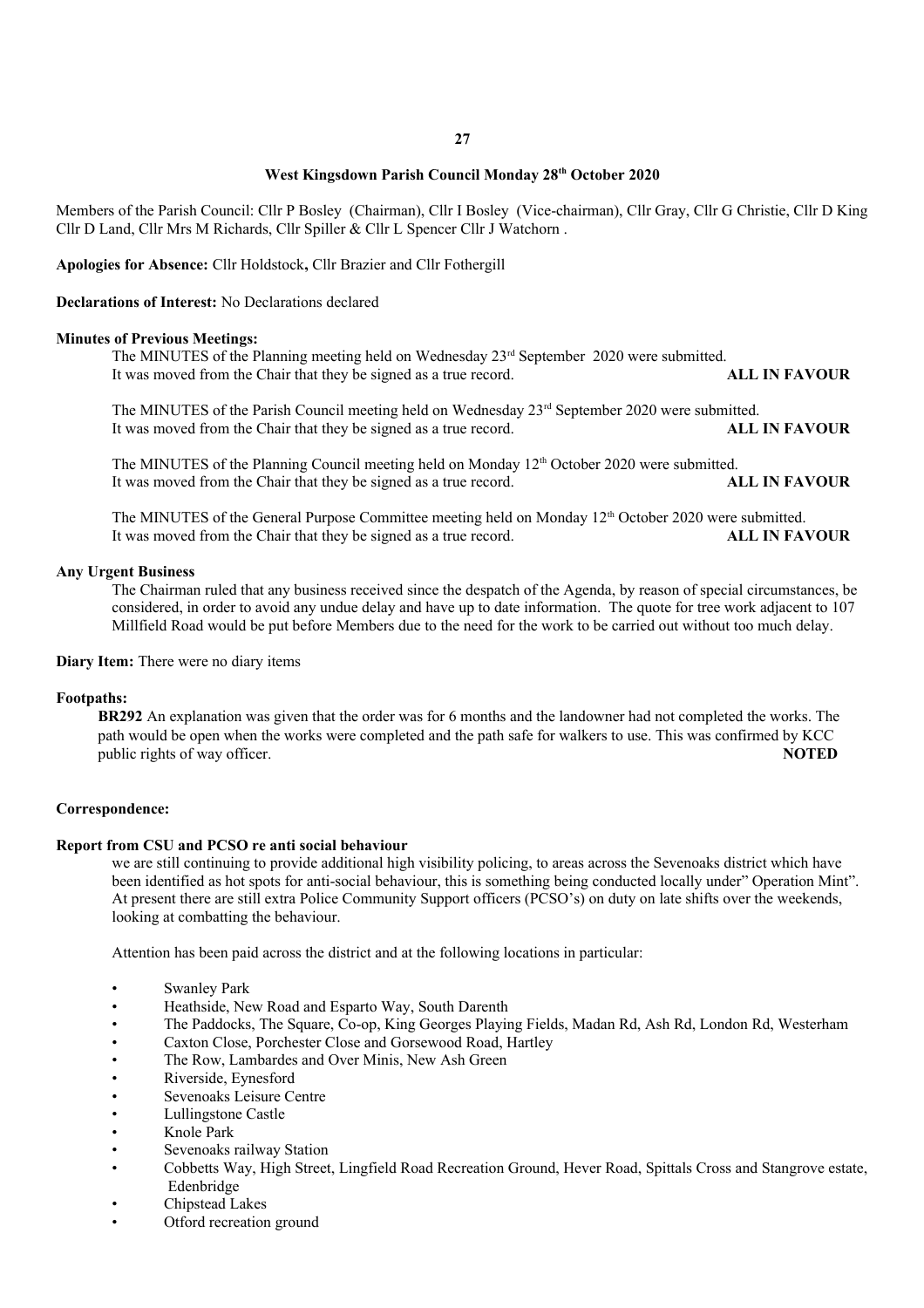# **West Kingsdown Parish Council Monday 28th October 2020**

Members of the Parish Council: Cllr P Bosley (Chairman), Cllr I Bosley (Vice-chairman), Cllr Gray, Cllr G Christie, Cllr D King Cllr D Land, Cllr Mrs M Richards, Cllr Spiller & Cllr L Spencer Cllr J Watchorn .

**Apologies for Absence:** Cllr Holdstock**,** Cllr Brazier and Cllr Fothergill

**Declarations of Interest:** No Declarations declared

#### **Minutes of Previous Meetings:**

The MINUTES of the Planning meeting held on Wednesday 23<sup>rd</sup> September 2020 were submitted. It was moved from the Chair that they be signed as a true record. **ALL IN FAVOUR**

The MINUTES of the Parish Council meeting held on Wednesday 23rd September 2020 were submitted. It was moved from the Chair that they be signed as a true record. **ALL IN FAVOUR**

The MINUTES of the Planning Council meeting held on Monday  $12<sup>th</sup>$  October 2020 were submitted. It was moved from the Chair that they be signed as a true record. **ALL IN FAVOUR**

The MINUTES of the General Purpose Committee meeting held on Monday 12<sup>th</sup> October 2020 were submitted. It was moved from the Chair that they be signed as a true record. **ALL IN FAVOUR**

## **Any Urgent Business**

The Chairman ruled that any business received since the despatch of the Agenda, by reason of special circumstances, be considered, in order to avoid any undue delay and have up to date information. The quote for tree work adjacent to 107 Millfield Road would be put before Members due to the need for the work to be carried out without too much delay.

**Diary Item:** There were no diary items

### **Footpaths:**

**BR292** An explanation was given that the order was for 6 months and the landowner had not completed the works. The path would be open when the works were completed and the path safe for walkers to use. This was confirmed by KCC public rights of way officer. **NOTED**

## **Correspondence:**

#### **Report from CSU and PCSO re anti social behaviour**

we are still continuing to provide additional high visibility policing, to areas across the Sevenoaks district which have been identified as hot spots for anti-social behaviour, this is something being conducted locally under" Operation Mint". At present there are still extra Police Community Support officers (PCSO's) on duty on late shifts over the weekends, looking at combatting the behaviour.

Attention has been paid across the district and at the following locations in particular:

- Swanley Park
- Heathside, New Road and Esparto Way, South Darenth
- The Paddocks, The Square, Co-op, King Georges Playing Fields, Madan Rd, Ash Rd, London Rd, Westerham
- Caxton Close, Porchester Close and Gorsewood Road, Hartley
- The Row, Lambardes and Over Minis, New Ash Green
- Riverside, Eynesford
- Sevenoaks Leisure Centre
- Lullingstone Castle
- Knole Park
- Sevenoaks railway Station
- Cobbetts Way, High Street, Lingfield Road Recreation Ground, Hever Road, Spittals Cross and Stangrove estate, Edenbridge
- Chipstead Lakes
- Otford recreation ground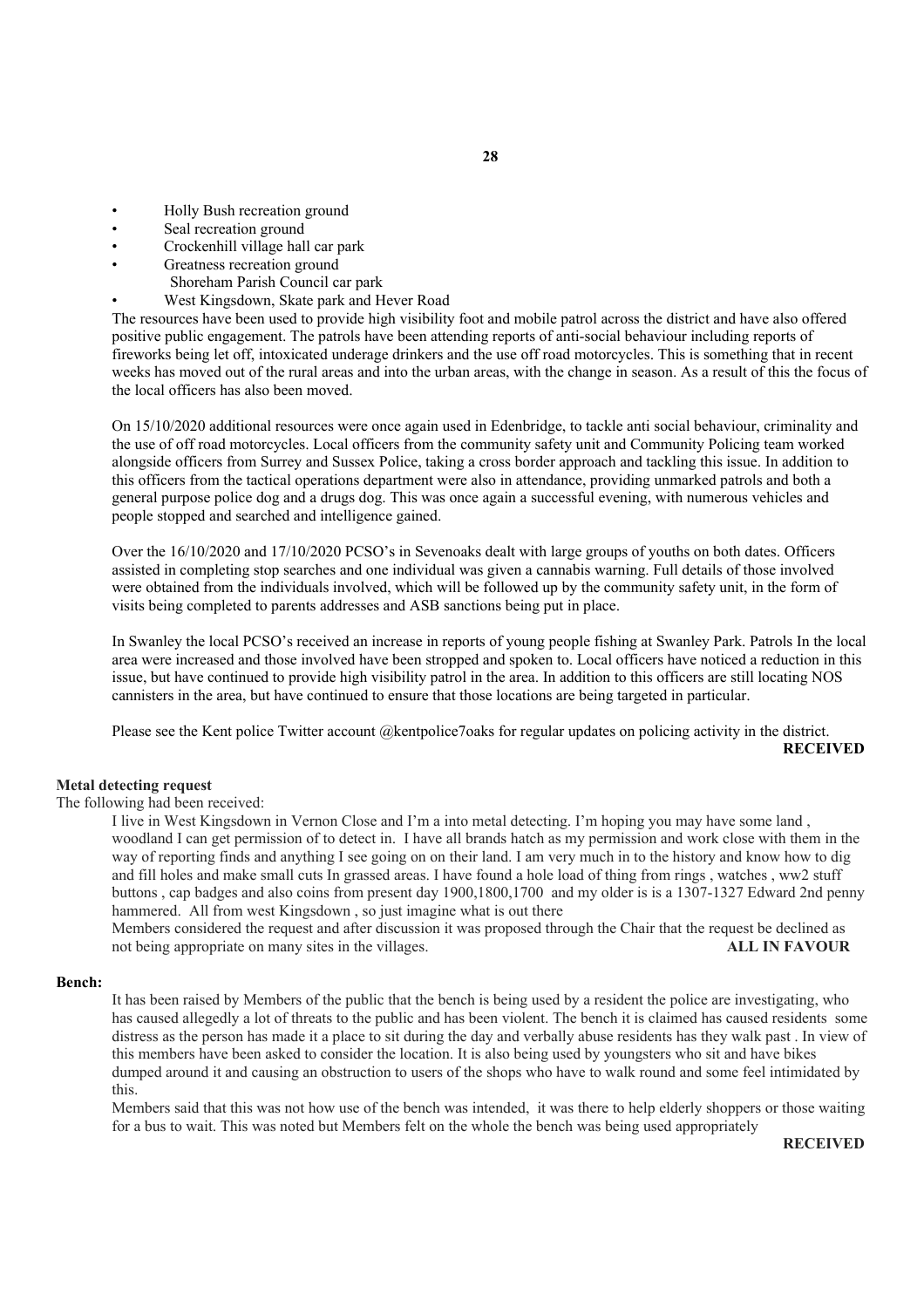- Holly Bush recreation ground
- Seal recreation ground
- Crockenhill village hall car park
- Greatness recreation ground
	- Shoreham Parish Council car park
- West Kingsdown, Skate park and Hever Road

The resources have been used to provide high visibility foot and mobile patrol across the district and have also offered positive public engagement. The patrols have been attending reports of anti-social behaviour including reports of fireworks being let off, intoxicated underage drinkers and the use off road motorcycles. This is something that in recent weeks has moved out of the rural areas and into the urban areas, with the change in season. As a result of this the focus of the local officers has also been moved.

On 15/10/2020 additional resources were once again used in Edenbridge, to tackle anti social behaviour, criminality and the use of off road motorcycles. Local officers from the community safety unit and Community Policing team worked alongside officers from Surrey and Sussex Police, taking a cross border approach and tackling this issue. In addition to this officers from the tactical operations department were also in attendance, providing unmarked patrols and both a general purpose police dog and a drugs dog. This was once again a successful evening, with numerous vehicles and people stopped and searched and intelligence gained.

Over the 16/10/2020 and 17/10/2020 PCSO's in Sevenoaks dealt with large groups of youths on both dates. Officers assisted in completing stop searches and one individual was given a cannabis warning. Full details of those involved were obtained from the individuals involved, which will be followed up by the community safety unit, in the form of visits being completed to parents addresses and ASB sanctions being put in place.

In Swanley the local PCSO's received an increase in reports of young people fishing at Swanley Park. Patrols In the local area were increased and those involved have been stropped and spoken to. Local officers have noticed a reduction in this issue, but have continued to provide high visibility patrol in the area. In addition to this officers are still locating NOS cannisters in the area, but have continued to ensure that those locations are being targeted in particular.

Please see the Kent police Twitter account @kentpolice7oaks for regular updates on policing activity in the district. **RECEIVED**

### **Metal detecting request**

The following had been received:

I live in West Kingsdown in Vernon Close and I'm a into metal detecting. I'm hoping you may have some land , woodland I can get permission of to detect in. I have all brands hatch as my permission and work close with them in the way of reporting finds and anything I see going on on their land. I am very much in to the history and know how to dig and fill holes and make small cuts In grassed areas. I have found a hole load of thing from rings , watches , ww2 stuff buttons , cap badges and also coins from present day 1900,1800,1700 and my older is is a 1307-1327 Edward 2nd penny hammered. All from west Kingsdown , so just imagine what is out there

Members considered the request and after discussion it was proposed through the Chair that the request be declined as not being appropriate on many sites in the villages. **ALL IN FAVOUR** 

### **Bench:**

It has been raised by Members of the public that the bench is being used by a resident the police are investigating, who has caused allegedly a lot of threats to the public and has been violent. The bench it is claimed has caused residents some distress as the person has made it a place to sit during the day and verbally abuse residents has they walk past . In view of this members have been asked to consider the location. It is also being used by youngsters who sit and have bikes dumped around it and causing an obstruction to users of the shops who have to walk round and some feel intimidated by this.

Members said that this was not how use of the bench was intended, it was there to help elderly shoppers or those waiting for a bus to wait. This was noted but Members felt on the whole the bench was being used appropriately

**RECEIVED**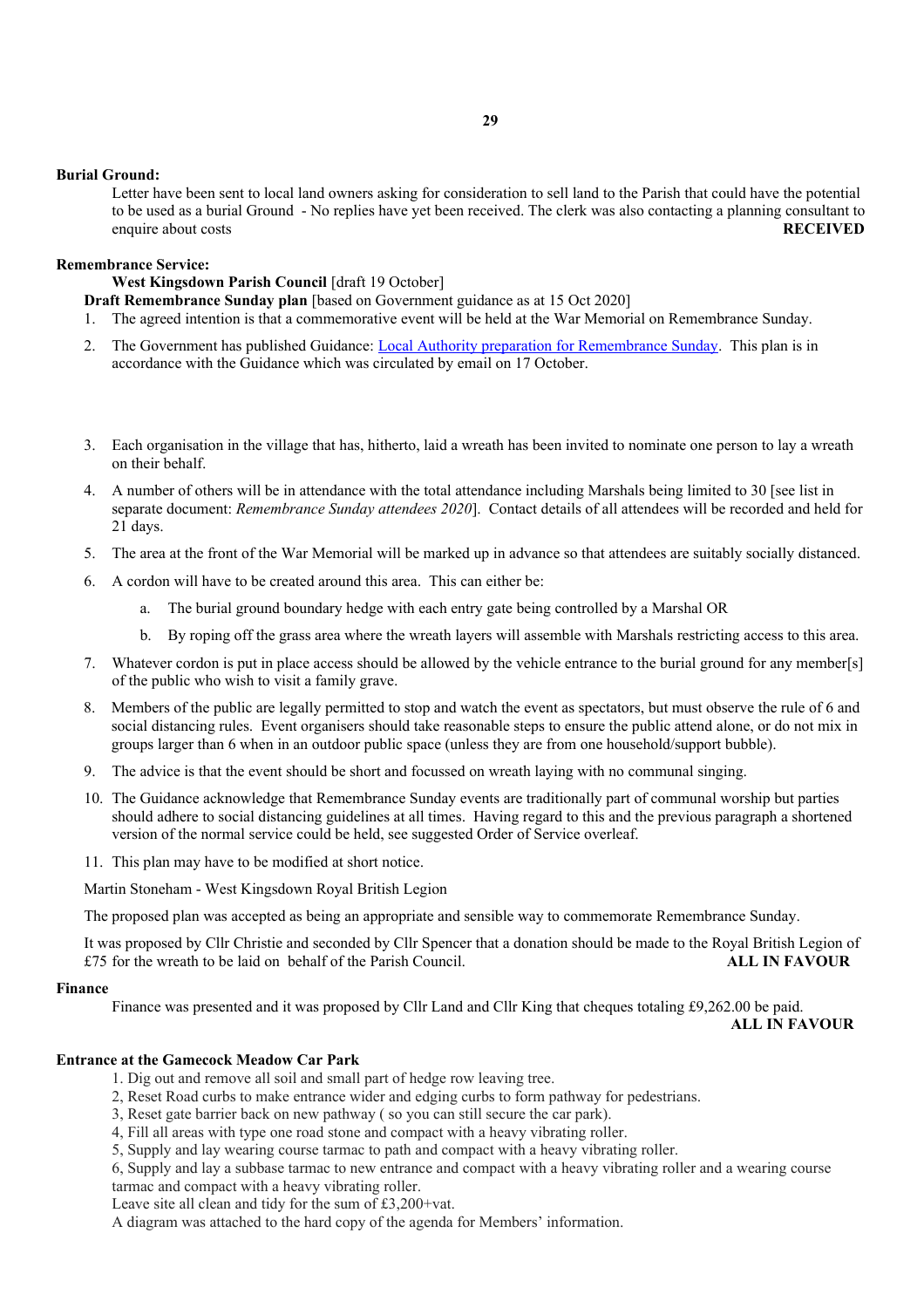### **Burial Ground:**

Letter have been sent to local land owners asking for consideration to sell land to the Parish that could have the potential to be used as a burial Ground - No replies have yet been received. The clerk was also contacting a planning consultant to enquire about costs **RECEIVED** 

## **Remembrance Service:**

**West Kingsdown Parish Council** [draft 19 October]

**Draft Remembrance Sunday plan** [based on Government guidance as at 15 Oct 2020]

1. The agreed intention is that a commemorative event will be held at the War Memorial on Remembrance Sunday.

- 2. The Government has published Guidance: [Local Authority preparation for Remembrance Sunday.](https://www.gov.uk/government/publications/local-authority-preparations-for-remembrance-sunday/local-authority-preparations-for-remembrance-sunday) This plan is in accordance with the Guidance which was circulated by email on 17 October.
- 3. Each organisation in the village that has, hitherto, laid a wreath has been invited to nominate one person to lay a wreath on their behalf.
- 4. A number of others will be in attendance with the total attendance including Marshals being limited to 30 [see list in separate document: *Remembrance Sunday attendees 2020*]. Contact details of all attendees will be recorded and held for 21 days.
- 5. The area at the front of the War Memorial will be marked up in advance so that attendees are suitably socially distanced.
- 6. A cordon will have to be created around this area. This can either be:
	- a. The burial ground boundary hedge with each entry gate being controlled by a Marshal OR
	- b. By roping off the grass area where the wreath layers will assemble with Marshals restricting access to this area.
- 7. Whatever cordon is put in place access should be allowed by the vehicle entrance to the burial ground for any member[s] of the public who wish to visit a family grave.
- 8. Members of the public are legally permitted to stop and watch the event as spectators, but must observe the rule of 6 and social distancing rules. Event organisers should take reasonable steps to ensure the public attend alone, or do not mix in groups larger than 6 when in an outdoor public space (unless they are from one household/support bubble).
- 9. The advice is that the event should be short and focussed on wreath laying with no communal singing.
- 10. The Guidance acknowledge that Remembrance Sunday events are traditionally part of communal worship but parties should adhere to social distancing guidelines at all times. Having regard to this and the previous paragraph a shortened version of the normal service could be held, see suggested Order of Service overleaf.
- 11. This plan may have to be modified at short notice.

Martin Stoneham - West Kingsdown Royal British Legion

The proposed plan was accepted as being an appropriate and sensible way to commemorate Remembrance Sunday.

It was proposed by Cllr Christie and seconded by Cllr Spencer that a donation should be made to the Royal British Legion of £75 for the wreath to be laid on behalf of the Parish Council. **ALL IN FAVOUR**

#### **Finance**

Finance was presented and it was proposed by Cllr Land and Cllr King that cheques totaling £9,262.00 be paid. **ALL IN FAVOUR** 

## **Entrance at the Gamecock Meadow Car Park**

- 1. Dig out and remove all soil and small part of hedge row leaving tree.
- 2, Reset Road curbs to make entrance wider and edging curbs to form pathway for pedestrians.

3, Reset gate barrier back on new pathway ( so you can still secure the car park).

- 4, Fill all areas with type one road stone and compact with a heavy vibrating roller.
- 5, Supply and lay wearing course tarmac to path and compact with a heavy vibrating roller.

6, Supply and lay a subbase tarmac to new entrance and compact with a heavy vibrating roller and a wearing course tarmac and compact with a heavy vibrating roller.

Leave site all clean and tidy for the sum of £3,200+vat.

A diagram was attached to the hard copy of the agenda for Members' information.